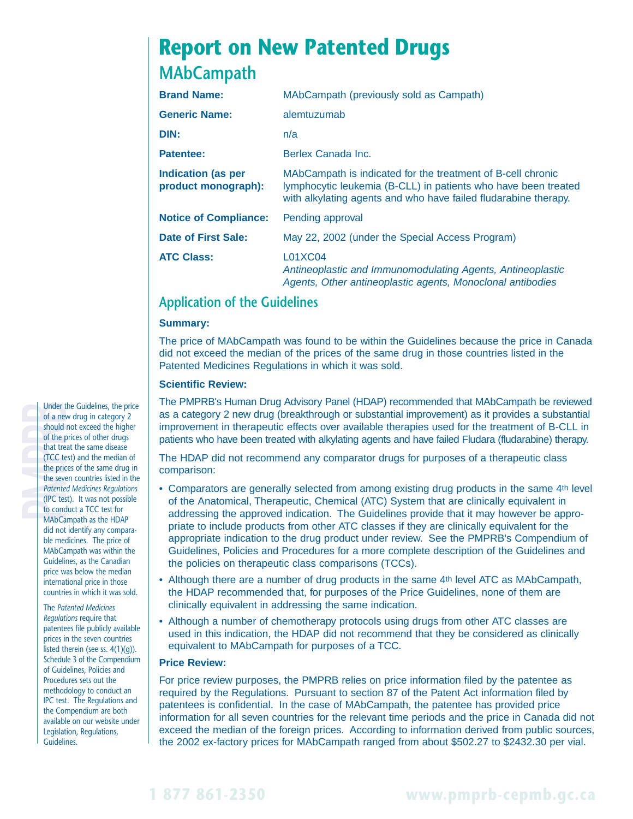# **Report on New Patented Drugs MAbCampath**

| <b>Brand Name:</b>                               | MAbCampath (previously sold as Campath)                                                                                                                                                          |  |
|--------------------------------------------------|--------------------------------------------------------------------------------------------------------------------------------------------------------------------------------------------------|--|
| <b>Generic Name:</b>                             | alemtuzumab                                                                                                                                                                                      |  |
| DIN:                                             | n/a                                                                                                                                                                                              |  |
| Patentee:                                        | Berlex Canada Inc.                                                                                                                                                                               |  |
| <b>Indication (as per</b><br>product monograph): | MAbCampath is indicated for the treatment of B-cell chronic<br>lymphocytic leukemia (B-CLL) in patients who have been treated<br>with alkylating agents and who have failed fludarabine therapy. |  |
| <b>Notice of Compliance:</b>                     | Pending approval                                                                                                                                                                                 |  |
| Date of First Sale:                              | May 22, 2002 (under the Special Access Program)                                                                                                                                                  |  |
| <b>ATC Class:</b>                                | <b>L01XC04</b><br>Antineoplastic and Immunomodulating Agents, Antineoplastic<br>Agents, Other antineoplastic agents, Monoclonal antibodies                                                       |  |

## **Application of the Guidelines**

#### **Summary:**

The price of MAbCampath was found to be within the Guidelines because the price in Canada did not exceed the median of the prices of the same drug in those countries listed in the Patented Medicines Regulations in which it was sold.

### **Scientific Review:**

The PMPRB's Human Drug Advisory Panel (HDAP) recommended that MAbCampath be reviewed as a category 2 new drug (breakthrough or substantial improvement) as it provides a substantial improvement in therapeutic effects over available therapies used for the treatment of B-CLL in patients who have been treated with alkylating agents and have failed Fludara (fludarabine) therapy.

The HDAP did not recommend any comparator drugs for purposes of a therapeutic class comparison:

- Comparators are generally selected from among existing drug products in the same 4th level of the Anatomical, Therapeutic, Chemical (ATC) System that are clinically equivalent in addressing the approved indication. The Guidelines provide that it may however be appropriate to include products from other ATC classes if they are clinically equivalent for the appropriate indication to the drug product under review. See the PMPRB's Compendium of Guidelines, Policies and Procedures for a more complete description of the Guidelines and the policies on therapeutic class comparisons (TCCs).
- Although there are a number of drug products in the same 4th level ATC as MAbCampath, the HDAP recommended that, for purposes of the Price Guidelines, none of them are clinically equivalent in addressing the same indication.
- Although a number of chemotherapy protocols using drugs from other ATC classes are used in this indication, the HDAP did not recommend that they be considered as clinically equivalent to MAbCampath for purposes of a TCC.

#### **Price Review:**

For price review purposes, the PMPRB relies on price information filed by the patentee as required by the Regulations. Pursuant to section 87 of the Patent Act information filed by patentees is confidential. In the case of MAbCampath, the patentee has provided price information for all seven countries for the relevant time periods and the price in Canada did not exceed the median of the foreign prices. According to information derived from public sources, the 2002 ex-factory prices for MAbCampath ranged from about \$502.27 to \$2432.30 per vial.

Under the Guidelines, the price<br>of a new drug in category 2<br>should not exceed the higher<br>of the prices of other drugs<br>that treat the same disease<br>(TCC test) and the median of<br>the prices of the same drug in<br>the seven countr of a new drug in category 2 should not exceed the higher of the prices of other drugs that treat the same disease (TCC test) and the median of the prices of the same drug in the seven countries listed in the *Patented Medicines Regulations* (IPC test). It was not possible to conduct a TCC test for MAbCampath as the HDAP did not identify any comparable medicines. The price of MAbCampath was within the Guidelines, as the Canadian price was below the median international price in those countries in which it was sold.

> The *Patented Medicines Regulations* require that patentees file publicly available prices in the seven countries listed therein (see ss. 4(1)(g)). Schedule 3 of the Compendium of Guidelines, Policies and Procedures sets out the methodology to conduct an IPC test. The Regulations and the Compendium are both available on our website under Legislation, Regulations, Guidelines.